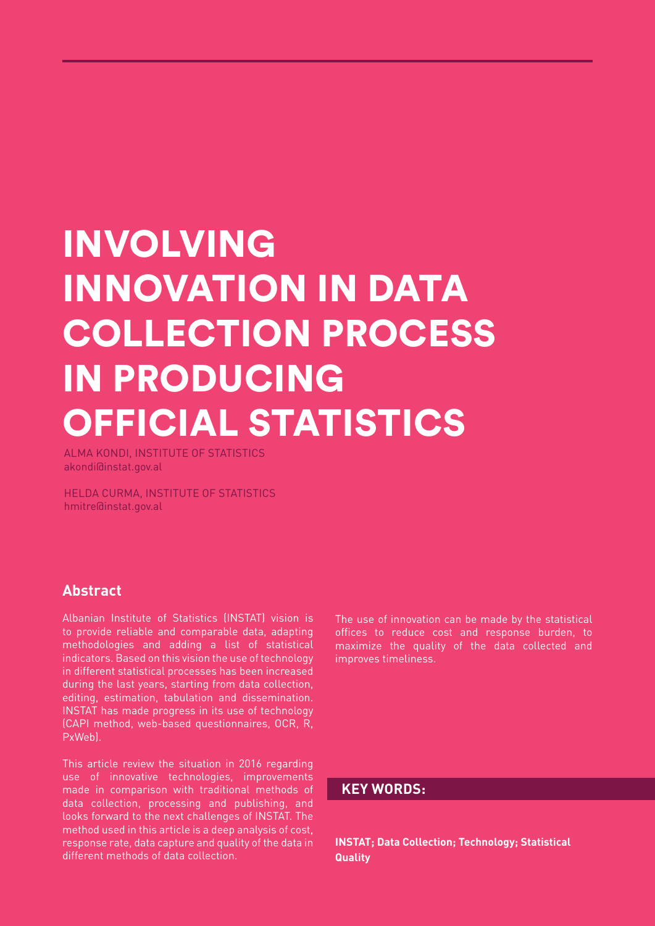# INVOLVING INNOVATION IN DATA COLLECTION PROCESS IN PRODUCING OFFICIAL STATISTICS

ALMA KONDI, INSTITUTE OF STATISTICS akondi@instat.gov.al

HELDA CURMA, INSTITUTE OF STATISTICS hmitre@instat.gov.al

## **Abstract**

Albanian Institute of Statistics (INSTAT) vision is to provide reliable and comparable data, adapting methodologies and adding a list of statistical indicators. Based on this vision the use of technology in different statistical processes has been increased during the last years, starting from data collection, editing, estimation, tabulation and dissemination. INSTAT has made progress in its use of technology (CAPI method, web-based questionnaires, OCR, R, PxWeb).

This article review the situation in 2016 regarding use of innovative technologies, improvements made in comparison with traditional methods of data collection, processing and publishing, and looks forward to the next challenges of INSTAT. The method used in this article is a deep analysis of cost, response rate, data capture and quality of the data in different methods of data collection.

The use of innovation can be made by the statistical offices to reduce cost and response burden, to maximize the quality of the data collected and improves timeliness.

### **KEY WORDS:**

**INSTAT; Data Collection; Technology; Statistical Quality**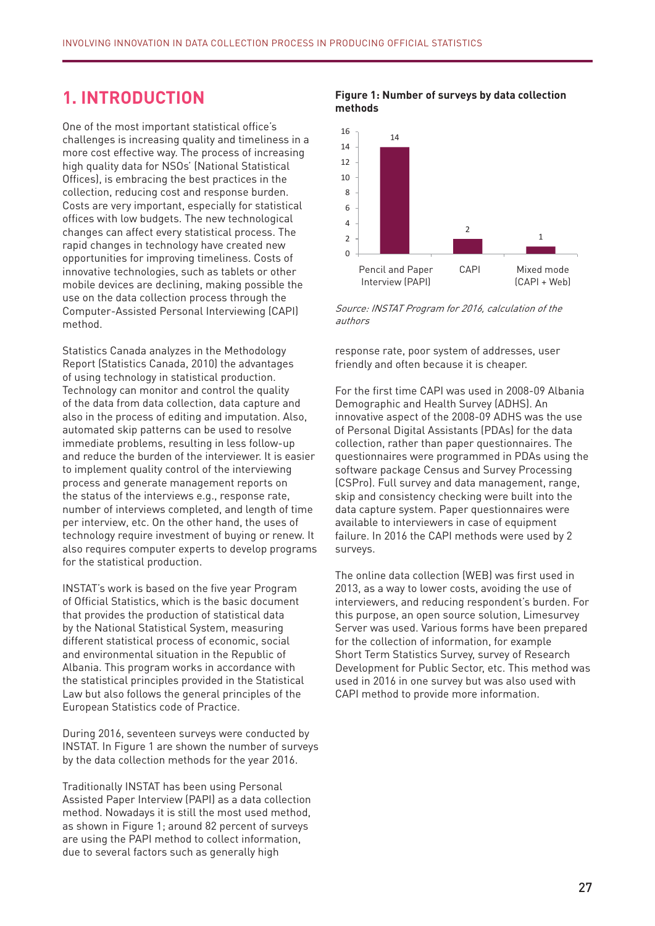## **1. INTRODUCTION**

One of the most important statistical office's challenges is increasing quality and timeliness in a more cost effective way. The process of increasing high quality data for NSOs' (National Statistical Offices), is embracing the best practices in the collection, reducing cost and response burden. Costs are very important, especially for statistical offices with low budgets. The new technological changes can affect every statistical process. The rapid changes in technology have created new opportunities for improving timeliness. Costs of innovative technologies, such as tablets or other mobile devices are declining, making possible the use on the data collection process through the Computer-Assisted Personal Interviewing (CAPI) method.

Statistics Canada analyzes in the Methodology Report (Statistics Canada, 2010) the advantages of using technology in statistical production. Technology can monitor and control the quality of the data from data collection, data capture and also in the process of editing and imputation. Also, automated skip patterns can be used to resolve immediate problems, resulting in less follow-up and reduce the burden of the interviewer. It is easier to implement quality control of the interviewing process and generate management reports on the status of the interviews e.g., response rate, number of interviews completed, and length of time per interview, etc. On the other hand, the uses of technology require investment of buying or renew. It also requires computer experts to develop programs for the statistical production.

INSTAT's work is based on the five year Program of Official Statistics, which is the basic document that provides the production of statistical data by the National Statistical System, measuring different statistical process of economic, social and environmental situation in the Republic of Albania. This program works in accordance with the statistical principles provided in the Statistical Law but also follows the general principles of the European Statistics code of Practice.

During 2016, seventeen surveys were conducted by INSTAT. In Figure 1 are shown the number of surveys by the data collection methods for the year 2016.

Traditionally INSTAT has been using Personal Assisted Paper Interview (PAPI) as a data collection method. Nowadays it is still the most used method, as shown in Figure 1; around 82 percent of surveys are using the PAPI method to collect information, due to several factors such as generally high

#### **Figure 1: Number of surveys by data collection**<br>methode **methods**



Source: INSTAT Program for 2016, calculation of the authors

response rate, poor system of addresses, user friendly and often because it is cheaper.

For the first time CAPI was used in 2008-09 Albania Demographic and Health Survey (ADHS). An innovative aspect of the 2008-09 ADHS was the use of Personal Digital Assistants (PDAs) for the data or Fersonal Digital Assistants (FDAS) for the data<br>collection, rather than paper questionnaires. The questionnaires were programmed in PDAs using the software package Census and Survey Processing (CSPro). Full survey and data management, range, etës organizme të programuan në Petësorët u programuan në PDA duke përdorur softuerin Census and Survey Proces<br>Programuan në PDA duke përdorur softuerin Census and Survey Processing (CSPR). data capture system. Paper questionnaires were available to interviewers in case of equipment avallable to litter viewers in case or equipment<br>failure. In 2016 the CAPI methods were used by 2 surveys. dispozicion të intervistuesve në rast të mosfunksionimit të mosfunksionimit të pajisisieve. Në vitin 2016 met<br>Shqiptari

The online data collection (WEB) was first used in 2013, as a way to lower costs, avoiding the use of interviewers, and reducing respondent's burden. For this purpose, an open source solution, Limesurvey Server was used. Various forms have been prepared for the collection of information, for example short Term Statistics Survey, survey of Research<br>Short Term Statistics Survey, survey of Research Development for Public Sector, etc. This method was used in 2016 in one survey but was also used with CAPI method to provide more information.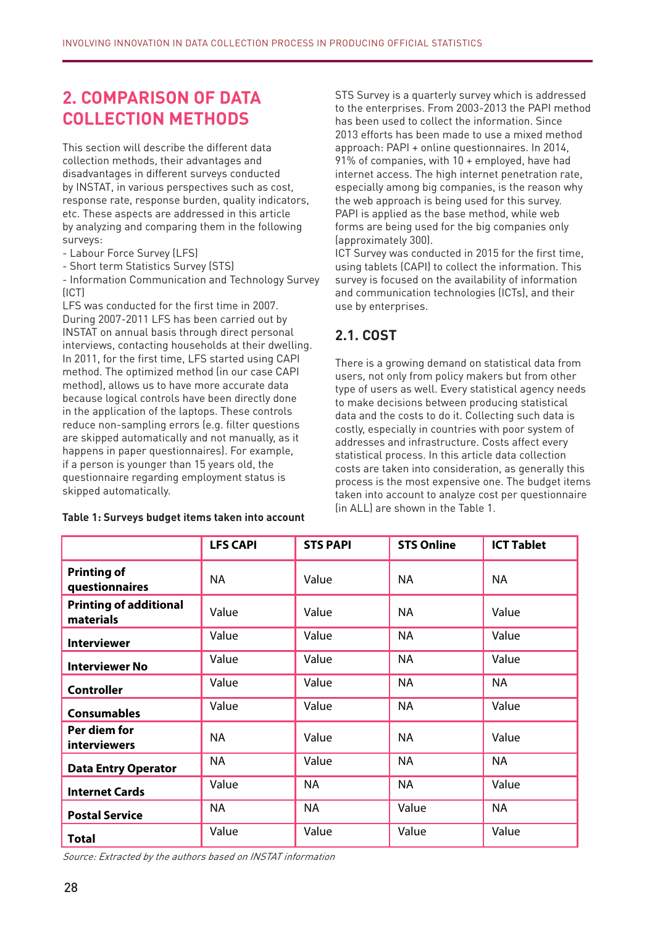# **2. COMPARISON OF DATA COLLECTION METHODS**

This section will describe the different data collection methods, their advantages and disadvantages in different surveys conducted by INSTAT, in various perspectives such as cost, response rate, response burden, quality indicators, etc. These aspects are addressed in this article by analyzing and comparing them in the following surveys:

- Labour Force Survey (LFS)

- Short term Statistics Survey (STS)

- Information Communication and Technology Survey (ICT)

LFS was conducted for the first time in 2007. During 2007-2011 LFS has been carried out by INSTAT on annual basis through direct personal interviews, contacting households at their dwelling. In 2011, for the first time, LFS started using CAPI method. The optimized method (in our case CAPI method), allows us to have more accurate data because logical controls have been directly done in the application of the laptops. These controls reduce non-sampling errors (e.g. filter questions are skipped automatically and not manually, as it happens in paper questionnaires). For example, if a person is younger than 15 years old, the questionnaire regarding employment status is skipped automatically.

#### **Table 1: Surveys budget items taken into account**

STS Survey is a quarterly survey which is addressed to the enterprises. From 2003-2013 the PAPI method has been used to collect the information. Since 2013 efforts has been made to use a mixed method approach: PAPI + online questionnaires. In 2014, 91% of companies, with 10 + employed, have had internet access. The high internet penetration rate, especially among big companies, is the reason why the web approach is being used for this survey. PAPI is applied as the base method, while web forms are being used for the big companies only (approximately 300).

ICT Survey was conducted in 2015 for the first time, using tablets (CAPI) to collect the information. This survey is focused on the availability of information and communication technologies (ICTs), and their use by enterprises.

## **2.1. COST**

There is a growing demand on statistical data from users, not only from policy makers but from other type of users as well. Every statistical agency needs to make decisions between producing statistical data and the costs to do it. Collecting such data is costly, especially in countries with poor system of addresses and infrastructure. Costs affect every statistical process. In this article data collection costs are taken into consideration, as generally this process is the most expensive one. The budget items taken into account to analyze cost per questionnaire (in ALL) are shown in the Table 1.

|                                            | <b>LFS CAPI</b> | <b>STS PAPI</b> | <b>STS Online</b> | <b>ICT Tablet</b> |
|--------------------------------------------|-----------------|-----------------|-------------------|-------------------|
| <b>Printing of</b><br>questionnaires       | NA.             | Value           | <b>NA</b>         | <b>NA</b>         |
| <b>Printing of additional</b><br>materials | Value           | Value           | <b>NA</b>         | Value             |
| <b>Interviewer</b>                         | Value           | Value           | <b>NA</b>         | Value             |
| <b>Interviewer No</b>                      | Value           | Value           | <b>NA</b>         | Value             |
| <b>Controller</b>                          | Value           | Value           | <b>NA</b>         | <b>NA</b>         |
| <b>Consumables</b>                         | Value           | Value           | <b>NA</b>         | Value             |
| Per diem for<br>interviewers               | <b>NA</b>       | Value           | <b>NA</b>         | Value             |
| <b>Data Entry Operator</b>                 | <b>NA</b>       | Value           | <b>NA</b>         | <b>NA</b>         |
| <b>Internet Cards</b>                      | Value           | <b>NA</b>       | <b>NA</b>         | Value             |
| <b>Postal Service</b>                      | <b>NA</b>       | <b>NA</b>       | Value             | <b>NA</b>         |
| <b>Total</b>                               | Value           | Value           | Value             | Value             |

Source: Extracted by the authors based on INSTAT information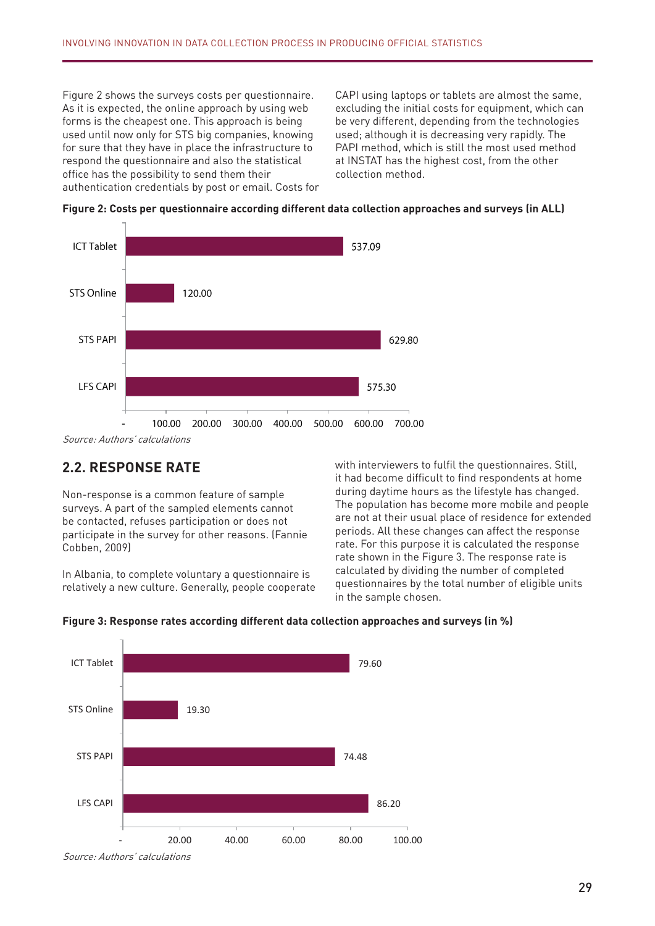Figure 2 shows the surveys costs per questionnaire. Lack CAPI using laptops or tablets are almost the san As it is expected, the online approach by using web excluding the initial costs for equipment, w used until now only for STS big companies, knowing respond the questionnaire and also the statistical at INSTAT has the highest cost, from the other the statistical cost of the statistical cost of the statistical cost of the statistical cost of the statistical cost of the **(në Lekë)** authentication credentials by post or email. Costs for forms is the cheapest one. This approach is being for sure that they have in place the infrastructure to office has the possibility to send them their

CAPI using laptops or tablets are almost the same, excluding the initial costs for equipment, which can be very different, depending from the technologies used; although it is decreasing very rapidly. The PAPI method, which is still the most used method at INSTAT has the highest cost, from the other collection method.





Source: Authors' calculations

# **2.2. RESPONSE RATE**

surveys. A part of the sampled elements cannot lhe population has become more mobile and peopulation has become more mobile and peopulation has become more mobile and peopulation. numrin e pyetësorëve të pavetës nga madhësinë e vrojtimit.<br>Cobben, 2009) participate in the survey for other reasons. (Fannie structure periods. All these changes can affect the respon Non-response is a common feature of sample be contacted, refuses participation or does not

**Figural** System Counting to the section of the state of the state of the total number of eligible units relatively a new culture Generally neonle cooperate questionnaires by the total number of eligible units In Albania, to complete voluntary a questionnaire is calculated by dividing the number of completed relatively a new culture. Generally, people cooperate

2.2. RESPONSE RATE **WEITHERRE E SHOWE** with interviewers to fulfil the questionnaires. Still, Non-response is a common feature of sample of during daytime hours as the lifestyle has changed. be contacted, relases participation or does not<br>periods. All these changes can affect the response gjithashtu, INSTAT ka mundësinë të kredencialet e tyre me postë ose email. Kostot për postë ose email. Kostot p pajisistet, të tjenë shumë të ndryshme, pavarësisht nga teknologjitë e përdorura, edhe pse përdorura, edhe pse it had become difficult to find respondents at home The population has become more mobile and people are not at their usual place of residence for extended rate. For this purpose it is calculated the response calculated by dividing the number of completed



Figure 3: Response rates according different data collection approaches and surveys (in %)

Source: Authors' calculations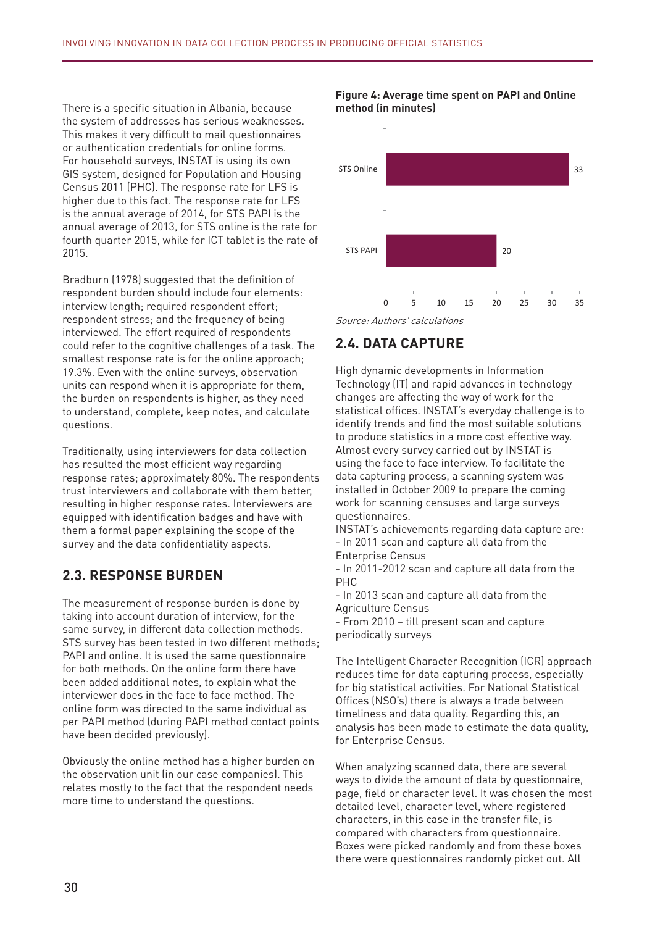There is a specific situation in Albania, because the system of addresses has serious weaknesses. This makes it very difficult to mail questionnaires or authentication credentials for online forms. For household surveys, INSTAT is using its own GIS system, designed for Population and Housing Census 2011 (PHC). The response rate for LFS is higher due to this fact. The response rate for LFS is the annual average of 2014, for STS PAPI is the annual average of 2013, for STS online is the rate for fourth quarter 2015, while for ICT tablet is the rate of 2015.

Bradburn (1978) suggested that the definition of respondent burden should include four elements: interview length; required respondent effort; respondent stress; and the frequency of being interviewed. The effort required of respondents could refer to the cognitive challenges of a task. The smallest response rate is for the online approach; 19.3%. Even with the online surveys, observation units can respond when it is appropriate for them, the burden on respondents is higher, as they need to understand, complete, keep notes, and calculate questions.

Traditionally, using interviewers for data collection has resulted the most efficient way regarding response rates; approximately 80%. The respondents trust interviewers and collaborate with them better, resulting in higher response rates. Interviewers are equipped with identification badges and have with them a formal paper explaining the scope of the survey and the data confidentiality aspects.

## **2.3. RESPONSE BURDEN**

The measurement of response burden is done by taking into account duration of interview, for the same survey, in different data collection methods. STS survey has been tested in two different methods; PAPI and online. It is used the same questionnaire for both methods. On the online form there have been added additional notes, to explain what the interviewer does in the face to face method. The online form was directed to the same individual as per PAPI method (during PAPI method contact points have been decided previously).

Obviously the online method has a higher burden on the observation unit (in our case companies). This relates mostly to the fact that the respondent needs more time to understand the questions.





#### Source: Authors' calculations

# **2.4. DATA CAPTURE**

Kjo lidhet kryesisht me faktin se i anketuari ka nevojë për më shumë kohë për të kuptuar pyetjet. Technology (IT) and rapid advances in technology **2.4. Kapja e të dhënave** statistical offices. INSTAT's everyday challenge is to to produce statistics in a more cost effective way. Almost every survey carried out by INSTAT is data capturing process, a scanning system was installed in October 2009 to prepare the coming work for scanning censuses and large surveys<br>work for scanning censuses and large surveys High dynamic developments in Information changes are affecting the way of work for the identify trends and find the most suitable solutions using the face to face interview. To facilitate the questionnaires.

INSTAT's achievements regarding data capture are: Enterprise Census e të dhje me kapjen e të dhje me kapjen e të dhje me kapjen e të dhënave janë: të dhënave ja - In 2011 scan and capture all data from the

 $C$  vitin 2011 skanimi dhe kapja e të dhënave për Censusin e Ndërmarrjeve Ekonomike Ekonomike Ekonomike Ekonomike Ekonomike Ekonomike Ekonomike Ekonomike Ekonomike Ekonomike Ekonomike Ekonomike Ekonomike Ekonomike Ekonomi - In 2011-2012 scan and capture all data from the PHC

në vitin 2010-00ani anë vapjanë atë data momensisë dhe kapja e të dhe kapja e popullsisë dhe Banesave për Cens<br>Agriculture Census - In 2013 scan and capture all data from the

- From 2010 – till present scan and capture  $N_{\text{velocity}}$  surveys periodically surveys

reduces time for data capturing process, especially for big statistical activities. For National Statistical The Intelligent Character Recognition (ICR) approach Offices (NSO's) there is always a trade between timeliness and data quality. Regarding this, an analysis has been made to estimate the data quality, for Enterprise Census.

When analyzing scanned data, there are several ways to divide the amount of data by questionnaire, page, field or character level. It was chosen the most detailed level, character level, where registered characters, in this case in the transfer file, is compared with characters from questionnaire. Boxes were picked randomly and from these boxes there were questionnaires randomly picket out. All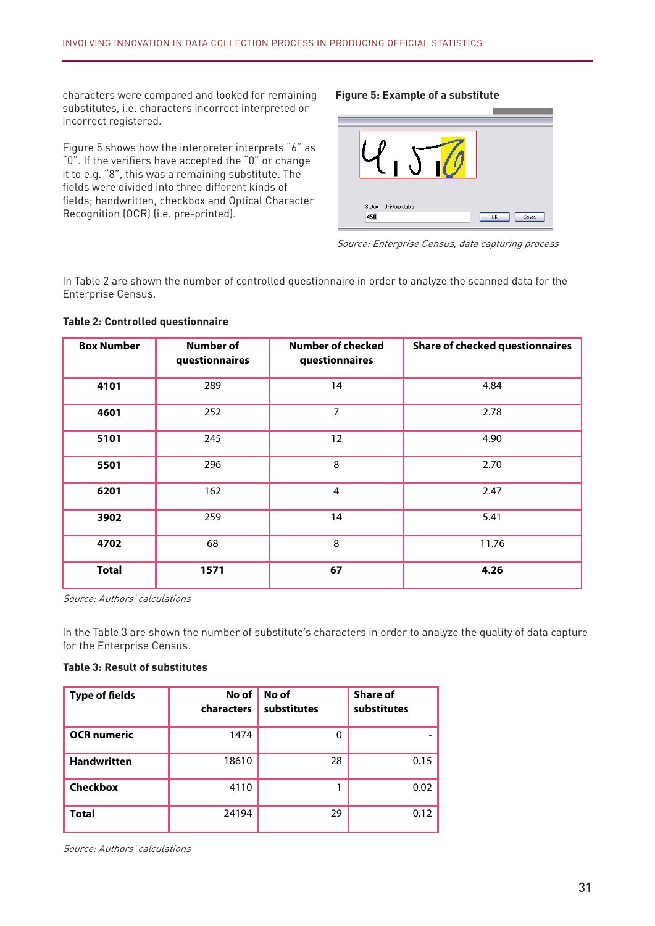characters were compared and looked for remaining substitutes, i.e. characters incorrect interpreted or incorrect registered.

Figure 5 shows how the interpreter interprets "6" as "0". If the verifiers have accepted the "0" or change it to e.g. "8", this was a remaining substitute. The fields were divided into three different kinds of fields; handwritten, checkbox and Optical Character Recognition (OCR) (i.e. pre-printed).

#### **Figure 5: Example of a substitute**



Source: Enterprise Census, data capturing process

Figura 5 tregon se si verifikuesi interpreton "6" si "0". Nëse verifikuesit e kanë pranuar "0" ose ta In Table 2 are shown the number of controlled questionnaire in order to analyze the scanned data for the Enterprise Census.

#### **Table 2: Controlled questionnaire**

| <b>Box Number</b> | <b>Number of</b><br>questionnaires | <b>Number of checked</b><br>questionnaires | <b>Share of checked questionnaires</b> |
|-------------------|------------------------------------|--------------------------------------------|----------------------------------------|
| 4101              | 289                                | 14                                         | 4.84                                   |
| 4601              | 252                                | 7                                          | 2.78                                   |
| 5101              | 245                                | 12                                         | 4.90                                   |
| 5501              | 296                                | 8                                          | 2.70                                   |
| 6201              | 162                                | 4                                          | 2.47                                   |
| 3902              | 259                                | 14                                         | 5.41                                   |
| 4702              | 68                                 | 8                                          | 11.76                                  |
| <b>Total</b>      | 1571                               | 67                                         | 4.26                                   |

Source: Authors' calculations

In the Table 3 are shown the number of substitute's characters in order to analyze the quality of data capture for the Enterprise Census.

#### **Table 3: Result of substitutes**

| <b>Type of fields</b> | No of<br>characters | No of<br>substitutes | Share of<br>substitutes |
|-----------------------|---------------------|----------------------|-------------------------|
| <b>OCR</b> numeric    | 1474                |                      |                         |
| <b>Handwritten</b>    | 18610               | 28                   | 0.15                    |
| <b>Checkbox</b>       | 4110                |                      | 0.02                    |
| <b>Total</b>          | 24194               | 29                   | 0.12                    |

Source: Authors' calculations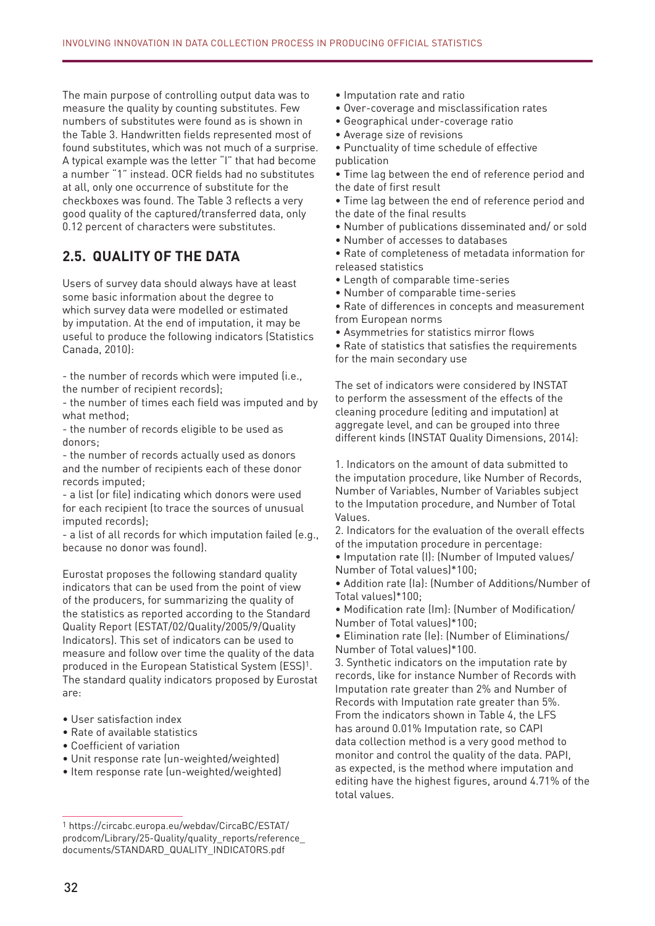The main purpose of controlling output data was to measure the quality by counting substitutes. Few numbers of substitutes were found as is shown in the Table 3. Handwritten fields represented most of found substitutes, which was not much of a surprise. A typical example was the letter "I" that had become a number "1" instead. OCR fields had no substitutes at all, only one occurrence of substitute for the checkboxes was found. The Table 3 reflects a very good quality of the captured/transferred data, only 0.12 percent of characters were substitutes.

## **2.5. QUALITY OF THE DATA**

Users of survey data should always have at least some basic information about the degree to which survey data were modelled or estimated by imputation. At the end of imputation, it may be useful to produce the following indicators (Statistics Canada, 2010):

- the number of records which were imputed (i.e., the number of recipient records);

- the number of times each field was imputed and by what method;

- the number of records eligible to be used as donors;

- the number of records actually used as donors and the number of recipients each of these donor records imputed;

- a list (or file) indicating which donors were used for each recipient (to trace the sources of unusual imputed records);

- a list of all records for which imputation failed (e.g., because no donor was found).

Eurostat proposes the following standard quality indicators that can be used from the point of view of the producers, for summarizing the quality of the statistics as reported according to the Standard Quality Report (ESTAT/02/Quality/2005/9/Quality Indicators). This set of indicators can be used to measure and follow over time the quality of the data produced in the European Statistical System (ESS)1. The standard quality indicators proposed by Eurostat are:

- User satisfaction index
- Rate of available statistics
- Coefficient of variation
- Unit response rate (un-weighted/weighted)
- Item response rate (un-weighted/weighted)
- Imputation rate and ratio
- Over-coverage and misclassification rates
- Geographical under-coverage ratio
- Average size of revisions
- Punctuality of time schedule of effective
- publication
- Time lag between the end of reference period and the date of first result

• Time lag between the end of reference period and the date of the final results

- Number of publications disseminated and/ or sold
- Number of accesses to databases
- Rate of completeness of metadata information for released statistics
- Length of comparable time-series
- Number of comparable time-series

• Rate of differences in concepts and measurement from European norms

• Asymmetries for statistics mirror flows

• Rate of statistics that satisfies the requirements for the main secondary use

The set of indicators were considered by INSTAT to perform the assessment of the effects of the cleaning procedure (editing and imputation) at aggregate level, and can be grouped into three different kinds (INSTAT Quality Dimensions, 2014):

1. Indicators on the amount of data submitted to the imputation procedure, like Number of Records, Number of Variables, Number of Variables subject to the Imputation procedure, and Number of Total Values.

2. Indicators for the evaluation of the overall effects of the imputation procedure in percentage:

• Imputation rate (I): (Number of Imputed values/ Number of Total values)\*100;

• Addition rate (Ia): (Number of Additions/Number of Total values)\*100;

• Modification rate (Im): (Number of Modification/ Number of Total values)\*100;

• Elimination rate (Ie): (Number of Eliminations/ Number of Total values)\*100.

3. Synthetic indicators on the imputation rate by records, like for instance Number of Records with Imputation rate greater than 2% and Number of Records with Imputation rate greater than 5%. From the indicators shown in Table 4, the LFS has around 0.01% Imputation rate, so CAPI data collection method is a very good method to monitor and control the quality of the data. PAPI, as expected, is the method where imputation and editing have the highest figures, around 4.71% of the total values.

<sup>1</sup> https://circabc.europa.eu/webdav/CircaBC/ESTAT/ prodcom/Library/25-Quality/quality\_reports/reference\_ documents/STANDARD\_QUALITY\_INDICATORS.pdf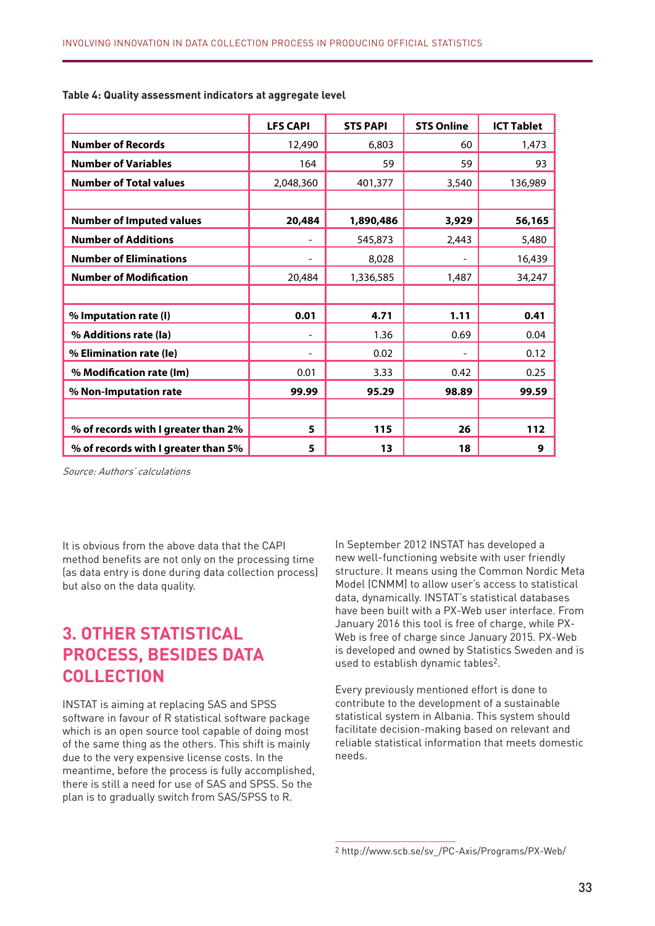|                                     | <b>LFS CAPI</b> | <b>STS PAPI</b> | <b>STS Online</b> | <b>ICT Tablet</b> |
|-------------------------------------|-----------------|-----------------|-------------------|-------------------|
| <b>Number of Records</b>            | 12,490          | 6,803           | 60                | 1,473             |
| <b>Number of Variables</b>          | 164             | 59              | 59                | 93                |
| <b>Number of Total values</b>       | 2,048,360       | 401,377         | 3,540             | 136,989           |
|                                     |                 |                 |                   |                   |
| <b>Number of Imputed values</b>     | 20,484          | 1,890,486       | 3,929             | 56,165            |
| <b>Number of Additions</b>          |                 | 545,873         | 2,443             | 5,480             |
| <b>Number of Eliminations</b>       |                 | 8,028           |                   | 16,439            |
| <b>Number of Modification</b>       | 20,484          | 1,336,585       | 1,487             | 34,247            |
|                                     |                 |                 |                   |                   |
| % Imputation rate (I)               | 0.01            | 4.71            | 1.11              | 0.41              |
| % Additions rate (la)               |                 | 1.36            | 0.69              | 0.04              |
| % Elimination rate (le)             |                 | 0.02            |                   | 0.12              |
| % Modification rate (Im)            | 0.01            | 3.33            | 0.42              | 0.25              |
| % Non-Imputation rate               | 99.99           | 95.29           | 98.89             | 99.59             |
|                                     |                 |                 |                   |                   |
| % of records with I greater than 2% | 5               | 115             | 26                | 112               |
| % of records with I greater than 5% | 5               | 13              | 18                | 9                 |

#### **Table 4: Quality assessment indicators at aggregate level**

Source: Authors' calculations

It is obvious from the above data that the CAPI method benefits are not only on the processing time (as data entry is done during data collection process) but also on the data quality.

# **3. OTHER STATISTICAL PROCESS, BESIDES DATA COLLECTION**

INSTAT is aiming at replacing SAS and SPSS software in favour of R statistical software package which is an open source tool capable of doing most of the same thing as the others. This shift is mainly due to the very expensive license costs. In the meantime, before the process is fully accomplished, there is still a need for use of SAS and SPSS. So the plan is to gradually switch from SAS/SPSS to R.

In September 2012 INSTAT has developed a new well-functioning website with user friendly structure. It means using the Common Nordic Meta Model (CNMM) to allow user's access to statistical data, dynamically. INSTAT's statistical databases have been built with a PX-Web user interface. From January 2016 this tool is free of charge, while PX-Web is free of charge since January 2015. PX-Web is developed and owned by Statistics Sweden and is used to establish dynamic tables<sup>2</sup>.

Every previously mentioned effort is done to contribute to the development of a sustainable statistical system in Albania. This system should facilitate decision-making based on relevant and reliable statistical information that meets domestic needs.

<sup>2</sup> http://www.scb.se/sv\_/PC-Axis/Programs/PX-Web/